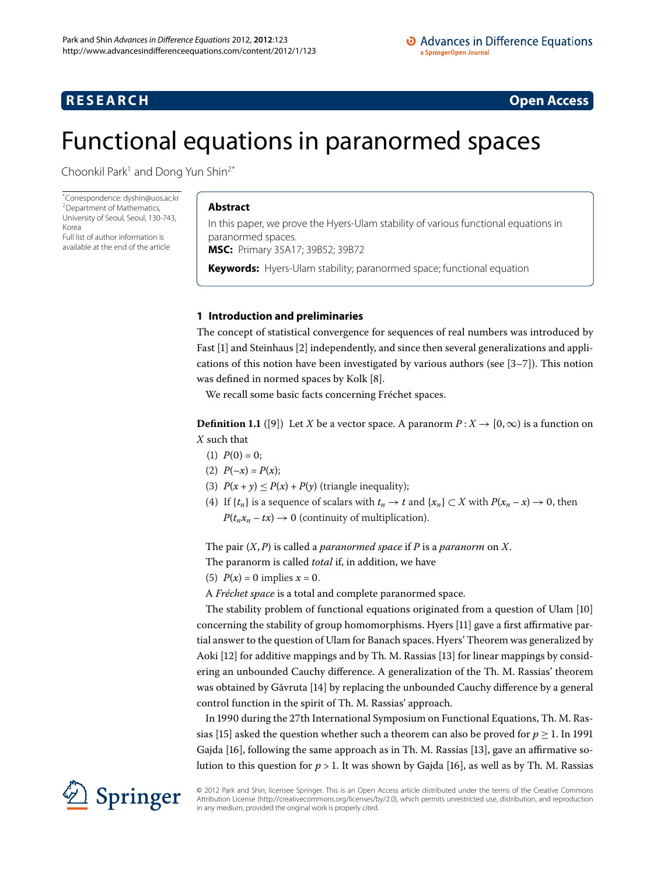## <span id="page-0-0"></span>**RESEARCH CONSTRUCTER ACCESS**

# Functional equations in paranormed spaces

Choonkil Park<sup>1</sup> and Dong Yun Shin<sup>2[\\*](#page-0-0)</sup>

\* Correspondence: [dyshin@uos.ac.kr](mailto:dyshin@uos.ac.kr) [2](#page-12-1)Department of Mathematics, University of Seoul, Seoul, 130-743, Korea

Full list of author information is available at the end of the article

## **Abstract**

In this paper, we prove the Hyers-Ulam stability of various functional equations in paranormed spaces.

**MSC:** Primary 35A17; 39B52; 39B72

**Keywords:** Hyers-Ulam stability; paranormed space; functional equation

## **1 Introduction and preliminaries**

The concept of statistical convergence for sequences of real numbers was introduced by Fast [\[](#page-13-1)1] and Steinhaus [2] independently, and since then several generalizations and applications of this notion have been investigated by various authors (see  $[3-7]$  $[3-7]$  $[3-7]$ ). This notion was defined in normed spaces by Kolk [8[\]](#page-13-4).

We recall some basic facts concerning Fréchet spaces.

**Definition 1.1** ([9[\]](#page-13-5)) Let *X* be a vector space. A paranorm  $P: X \rightarrow [0, \infty)$  is a function on *X* such that

- (1)  $P(0) = 0$ ;
- (2)  $P(-x) = P(x);$
- (3)  $P(x + y) \le P(x) + P(y)$  (triangle inequality);
- (4) If  $\{t_n\}$  is a sequence of scalars with  $t_n \to t$  and  $\{x_n\} \subset X$  with  $P(x_n x) \to 0$ , then  $P(t_n x_n - tx) \to 0$  (continuity of multiplication).

The pair (*X*,*P*) is called a *paranormed space* if *P* is a *paranorm* on *X*.

The paranorm is called *total* if, in addition, we have

(5)  $P(x) = 0$  implies  $x = 0$ .

A *Fréchet space* is a total and complete paranormed space.

The stability problem of functional equations originated from a question of Ulam [10[\]](#page-13-6) concerning the stability of group homomorphisms. Hyers [11] gave a first affirmative partial answer to the question of Ulam for Banach spaces. Hyers' Theorem was generalized by Aoki [\[](#page-13-8)12[\]](#page-13-9) for additive mappings and by Th. M. Rassias [13] for linear mappings by considering an unbounded Cauchy difference. A generalization of the Th. M. Rassias' theorem was obtained by Găvruta [\[](#page-13-10)14] by replacing the unbounded Cauchy difference by a general control function in the spirit of Th. M. Rassias' approach.

In 1990 during the 27th International Symposium on Functional Equations, Th. M. Ras-sias [15[\]](#page-13-11) asked the question whether such a theorem can also be proved for  $p > 1$ . In 1991 Gajda [16[\]](#page-13-9), following the same approach as in Th. M. Rassias [13], gave an affirmative solution to this question for  $p > 1$ . It was shown by Gajda [\[](#page-13-12)16], as well as by Th. M. Rassias



© 2012 Park and Shin; licensee Springer. This is an Open Access article distributed under the terms of the Creative Commons Attribution License [\(http://creativecommons.org/licenses/by/2.0](http://creativecommons.org/licenses/by/2.0)), which permits unrestricted use, distribution, and reproduction in any medium, provided the original work is properly cited.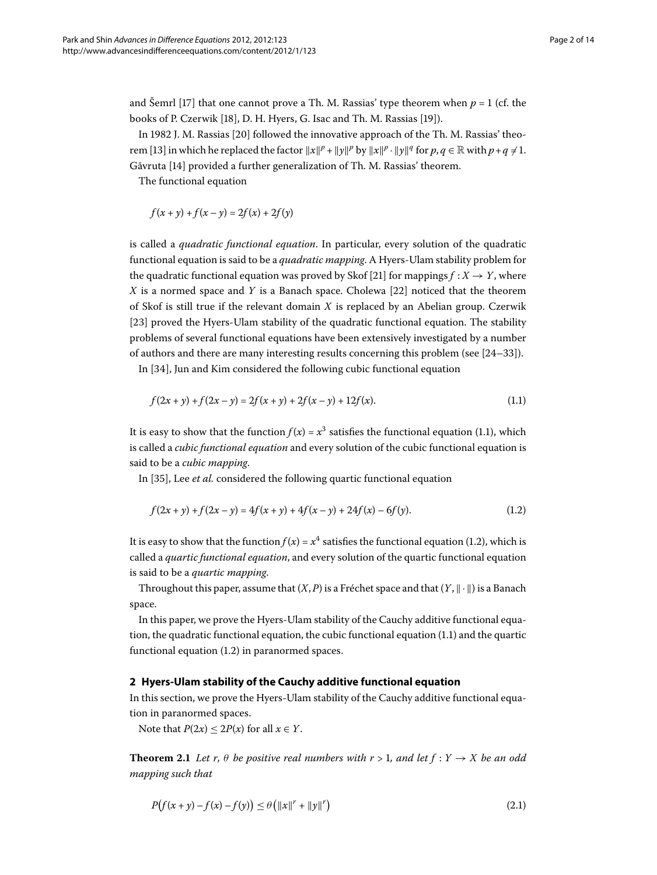and Šemrl [17] that one cannot prove a Th. M. Rassias' type theorem when  $p = 1$  (cf. the books of P. Czerwik [\[](#page-13-15)18], D. H. Hyers, G. Isac and Th. M. Rassias [19]).

In 1982 J. M. Rassias [20] followed the innovative approach of the Th. M. Rassias' theo-rem [13[\]](#page-13-9) in which he replaced the factor  $||x||^p + ||y||^p$  by  $||x||^p \cdot ||y||^q$  for  $p, q \in \mathbb{R}$  with  $p + q \neq 1$ . Găvruta [\[](#page-13-10)14] provided a further generalization of Th. M. Rassias' theorem.

The functional equation

<span id="page-1-0"></span>
$$
f(x + y) + f(x - y) = 2f(x) + 2f(y)
$$

is called a *quadratic functional equation*. In particular, every solution of the quadratic functional equation is said to be a *quadratic mapping*. A Hyers-Ulam stability problem for the quadratic functional equation was proved by Skof [\[](#page-13-17)21] for mappings  $f: X \rightarrow Y$ , where *X* is a normed space and *Y* is a Banach space. Cholewa [22[\]](#page-13-18) noticed that the theorem of Skof is still true if the relevant domain *X* is replaced by an Abelian group. Czerwik [23[\]](#page-13-19) proved the Hyers-Ulam stability of the quadratic functional equation. The stability problems of several functional equations have been extensively investigated by a number of authors and there are many interesting results concerning this problem (see  $[24-33]$  $[24-33]$ ).

In [34], Jun and Kim considered the following cubic functional equation

<span id="page-1-1"></span>
$$
f(2x + y) + f(2x - y) = 2f(x + y) + 2f(x - y) + 12f(x).
$$
 (1.1)

It is easy to show that the function  $f(x) = x^3$  satisfies the functional equation (1.1), which is called a *cubic functional equation* and every solution of the cubic functional equation is said to be a *cubic mapping*.

In [35[\]](#page-13-23), Lee *et al.* considered the following quartic functional equation

$$
f(2x + y) + f(2x - y) = 4f(x + y) + 4f(x - y) + 24f(x) - 6f(y).
$$
 (1.2)

It is easy to show that the function  $f(x) = x^4$  satisfies the functional equation (1.2), which is called a *quartic functional equation*, and every solution of the quartic functional equation is said to be a *quartic mapping*.

Throughout this paper, assume that  $(X, P)$  is a Fréchet space and that  $(Y, \|\cdot\|)$  is a Banach space.

In this paper, we prove the Hyers-Ulam stability of the Cauchy additive functional equation, the quadratic functional equation, the cubic functional equation  $(1.1)$  $(1.1)$  $(1.1)$  and the quartic functional equation  $(1.2)$  $(1.2)$  $(1.2)$  in paranormed spaces.

### **2 Hyers-Ulam stability of the Cauchy additive functional equation**

In this section, we prove the Hyers-Ulam stability of the Cauchy additive functional equation in paranormed spaces.

<span id="page-1-2"></span>Note that  $P(2x) \le 2P(x)$  for all  $x \in Y$ .

**Theorem 2.1** Let r,  $\theta$  be positive real numbers with  $r > 1$ , and let  $f : Y \to X$  be an odd *mapping such that*

$$
P(f(x + y) - f(x) - f(y)) \le \theta \left( \|x\|^r + \|y\|^r \right)
$$
\n(2.1)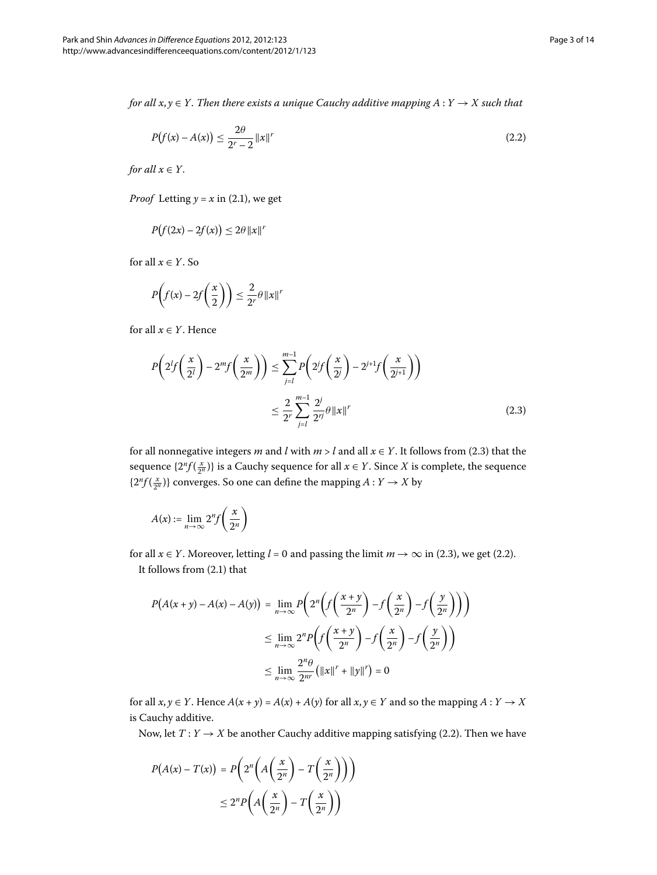*for all*  $x, y \in Y$ . Then there exists a unique Cauchy additive mapping  $A: Y \to X$  such that

<span id="page-2-1"></span>
$$
P(f(x) - A(x)) \le \frac{2\theta}{2^r - 2} ||x||^r
$$
\n(2.2)

*for all*  $x \in Y$ *.* 

*Proof* Letting  $y = x$  in (2.1), we get

$$
P(f(2x) - 2f(x)) \le 2\theta \|x\|^{r}
$$

<span id="page-2-0"></span>for all  $x \in Y$ . So

$$
P\left(f(x) - 2f\left(\frac{x}{2}\right)\right) \le \frac{2}{2^r}\theta \left\|x\right\|^r
$$

for all  $x \in Y$ . Hence

$$
P\left(2^{l}f\left(\frac{x}{2^{l}}\right) - 2^{m}f\left(\frac{x}{2^{m}}\right)\right) \leq \sum_{j=l}^{m-1} P\left(2^{j}f\left(\frac{x}{2^{j}}\right) - 2^{j+1}f\left(\frac{x}{2^{j+1}}\right)\right)
$$

$$
\leq \frac{2}{2^{r}} \sum_{j=l}^{m-1} \frac{2^{j}}{2^{rj}} \theta \left\|x\right\|^{r}
$$
(2.3)

for all nonnegative integers *m* and *l* with  $m > l$  and all  $x \in Y$ . It follows from (2.3) that the sequence  $\{2^n f(\frac{x}{2^n})\}$  is a Cauchy sequence for all  $x \in Y$ . Since  $X$  is complete, the sequence  $\{2^n f(\frac{x}{2^n})\}$  converges. So one can define the mapping  $A: Y \to X$  by

$$
A(x) := \lim_{n \to \infty} 2^n f\left(\frac{x}{2^n}\right)
$$

for all  $x \in Y$ [.](#page-2-0) Moreover, letting  $l = 0$  and passing the limit  $m \to \infty$  in (2.3), we get (2.2). It follows from  $(2.1)$  $(2.1)$  $(2.1)$  that

$$
P(A(x+y) - A(x) - A(y)) = \lim_{n \to \infty} P\left(2^n \left(f\left(\frac{x+y}{2^n}\right) - f\left(\frac{x}{2^n}\right) - f\left(\frac{y}{2^n}\right)\right)\right)
$$
  

$$
\leq \lim_{n \to \infty} 2^n P\left(f\left(\frac{x+y}{2^n}\right) - f\left(\frac{x}{2^n}\right) - f\left(\frac{y}{2^n}\right)\right)
$$
  

$$
\leq \lim_{n \to \infty} \frac{2^n \theta}{2^m} \left(\|x\|^r + \|y\|^r\right) = 0
$$

for all  $x, y \in Y$ . Hence  $A(x + y) = A(x) + A(y)$  for all  $x, y \in Y$  and so the mapping  $A: Y \to X$ is Cauchy additive.

Now, let  $T: Y \rightarrow X$  be another Cauchy additive mapping satisfying (2.2). Then we have

$$
P(A(x) - T(x)) = P\left(2^n \left(A\left(\frac{x}{2^n}\right) - T\left(\frac{x}{2^n}\right)\right)\right)
$$

$$
\leq 2^n P\left(A\left(\frac{x}{2^n}\right) - T\left(\frac{x}{2^n}\right)\right)
$$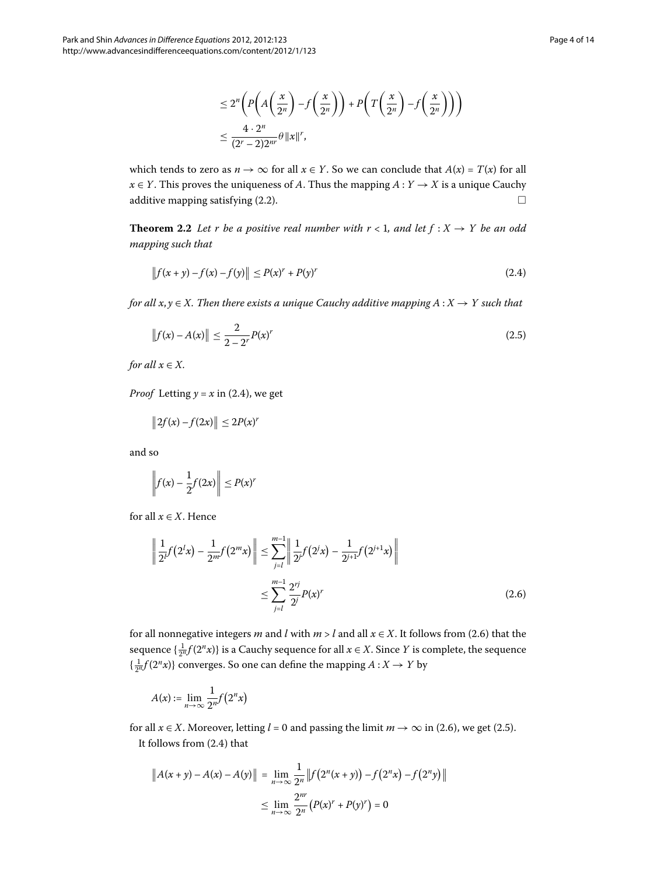<span id="page-3-2"></span><span id="page-3-0"></span>
$$
\leq 2^{n} \left( P\left( A\left(\frac{x}{2^{n}}\right) - f\left(\frac{x}{2^{n}}\right) \right) + P\left( T\left(\frac{x}{2^{n}}\right) - f\left(\frac{x}{2^{n}}\right) \right) \right)
$$
  

$$
\leq \frac{4 \cdot 2^{n}}{(2^{r} - 2)2^{m}} \theta \|x\|^{r},
$$

which tends to zero as  $n \to \infty$  for all  $x \in Y$ . So we can conclude that  $A(x) = T(x)$  for all *x* ∈ *Y*. This proves the uniqueness of *A*. Thus the mapping *A* : *Y* → *X* is a unique Cauchy additive mapping satisfying  $(2.2)$ .

**Theorem 2.2** Let r be a positive real number with  $r < 1$ , and let  $f : X \rightarrow Y$  be an odd *mapping such that*

$$
||f(x + y) - f(x) - f(y)|| \le P(x)^{r} + P(y)^{r}
$$
\n(2.4)

*for all*  $x, y \in X$ . Then there exists a unique Cauchy additive mapping  $A: X \to Y$  such that

$$
||f(x) - A(x)|| \le \frac{2}{2 - 2^r} P(x)^r
$$
\n(2.5)

*for all*  $x \in X$ *.* 

*Proof* Letting  $y = x$  in (2.4), we get

$$
\|2f(x)-f(2x)\|\leq 2P(x)'
$$

<span id="page-3-1"></span>and so

$$
\left\|f(x) - \frac{1}{2}f(2x)\right\| \le P(x)^r
$$

for all  $x \in X$ . Hence

$$
\left\| \frac{1}{2^{l}} f(2^{l} x) - \frac{1}{2^{m}} f(2^{m} x) \right\| \le \sum_{j=l}^{m-1} \left\| \frac{1}{2^{j}} f(2^{j} x) - \frac{1}{2^{j+1}} f(2^{j+1} x) \right\|
$$
  

$$
\le \sum_{j=l}^{m-1} \frac{2^{rj}}{2^{j}} P(x)^{r}
$$
(2.6)

for all nonnegative integers *m* and *l* with  $m > l$  and all  $x \in X$ [.](#page-3-1) It follows from (2.6) that the sequence  $\{\frac{1}{2^n}f(2^n x)\}$  is a Cauchy sequence for all  $x \in X$ . Since  $Y$  is complete, the sequence  $\left\{ \frac{1}{2^n} f(2^n x) \right\}$  converges. So one can define the mapping  $A: X \to Y$  by

$$
A(x) := \lim_{n \to \infty} \frac{1}{2^n} f(2^n x)
$$

for all  $x \in X$ [.](#page-3-1) Moreover, letting  $l = 0$  and passing the limit  $m \to \infty$  in (2.6), we get (2.5). It follows from  $(2.4)$  $(2.4)$  $(2.4)$  that

$$
||A(x + y) - A(x) - A(y)|| = \lim_{n \to \infty} \frac{1}{2^n} ||f(2^n(x + y)) - f(2^n x) - f(2^n y)||
$$
  

$$
\leq \lim_{n \to \infty} \frac{2^{nr}}{2^n} (P(x)^r + P(y)^r) = 0
$$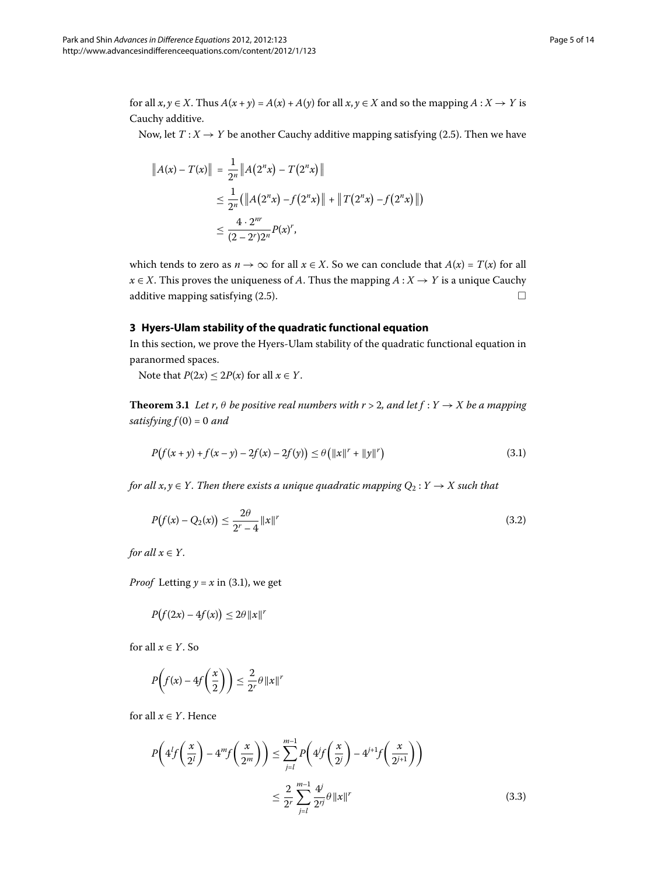for all  $x, y \in X$ . Thus  $A(x + y) = A(x) + A(y)$  for all  $x, y \in X$  and so the mapping  $A: X \to Y$  is Cauchy additive.

Now, let  $T: X \rightarrow Y$  be another Cauchy additive mapping satisfying (2.5). Then we have

$$
||A(x) - T(x)|| = \frac{1}{2^n} ||A(2^n x) - T(2^n x)||
$$
  
\n
$$
\leq \frac{1}{2^n} (||A(2^n x) - f(2^n x)|| + ||T(2^n x) - f(2^n x)||)
$$
  
\n
$$
\leq \frac{4 \cdot 2^{nr}}{(2 - 2^r)2^n} P(x)^r,
$$

which tends to zero as  $n \to \infty$  for all  $x \in X$ . So we can conclude that  $A(x) = T(x)$  for all  $x \in X$ . This proves the uniqueness of *A*. Thus the mapping  $A: X \rightarrow Y$  is a unique Cauchy additive mapping satisfying  $(2.5)$ .

## **3 Hyers-Ulam stability of the quadratic functional equation**

In this section, we prove the Hyers-Ulam stability of the quadratic functional equation in paranormed spaces.

<span id="page-4-0"></span>Note that  $P(2x) \le 2P(x)$  for all  $x \in Y$ .

**Theorem 3.1** Let r,  $\theta$  be positive real numbers with  $r > 2$ , and let  $f : Y \to X$  be a mapping  $satisfying  $f(0) = 0$  and$ 

<span id="page-4-2"></span>
$$
P(f(x+y) + f(x-y) - 2f(x) - 2f(y)) \le \theta (||x||^r + ||y||^r)
$$
\n(3.1)

*for all x, y*  $\in$  *Y*. Then there exists a unique quadratic mapping  $Q_2$  :  $Y \rightarrow X$  such that

$$
P(f(x) - Q_2(x)) \le \frac{2\theta}{2^r - 4} ||x||^r
$$
\n(3.2)

*for all*  $x \in Y$ *.* 

*Proof* Letting  $y = x$  in (3.1), we get

$$
P(f(2x) - 4f(x)) \le 2\theta \|x\|^r
$$

<span id="page-4-1"></span>for all  $x \in Y$ . So

$$
P\left(f(x) - 4f\left(\frac{x}{2}\right)\right) \le \frac{2}{2^r} \theta \|x\|^r
$$

for all  $x \in Y$ . Hence

$$
P\left(4^{l}f\left(\frac{x}{2^{l}}\right) - 4^{m}f\left(\frac{x}{2^{m}}\right)\right) \leq \sum_{j=l}^{m-1} P\left(4^{j}f\left(\frac{x}{2^{j}}\right) - 4^{j+1}f\left(\frac{x}{2^{j+1}}\right)\right)
$$

$$
\leq \frac{2}{2^{r}} \sum_{j=l}^{m-1} \frac{4^{j}}{2^{rj}} \theta \left\|x\right\|^{r}
$$
(3.3)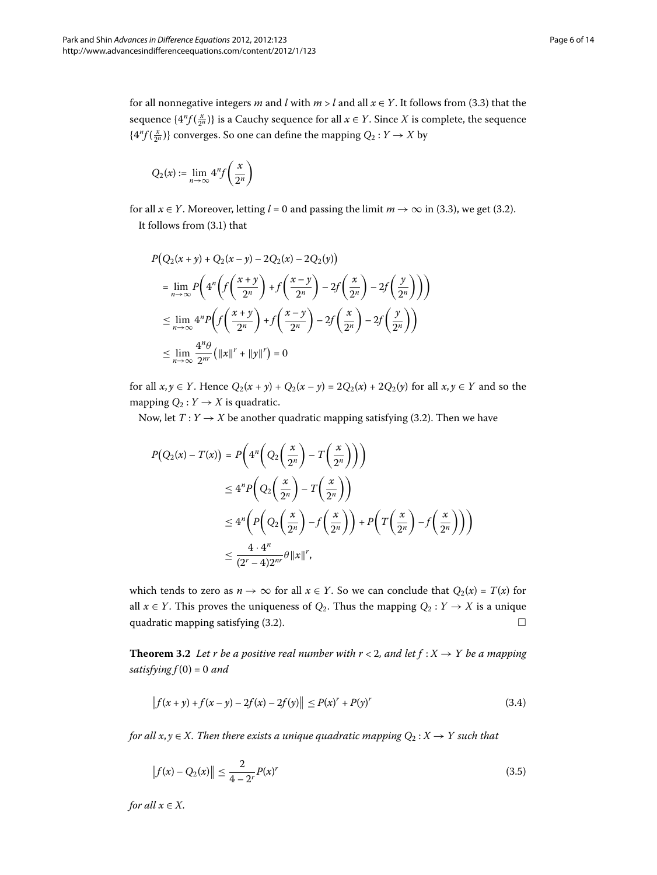for all nonnegative integers *m* and *l* with  $m > l$  and all  $x \in Y$ . It follows from (3.3) that the sequence  $\{4^n f(\frac{x}{2^n})\}$  is a Cauchy sequence for all  $x \in Y$ . Since  $X$  is complete, the sequence  $\{4^n f(\frac{x}{2^n})\}$  converges. So one can define the mapping  $Q_2: Y \to X$  by

$$
Q_2(x):=\lim_{n\to\infty}4^nf\left(\frac{x}{2^n}\right)
$$

for all  $x \in Y$ [.](#page-4-1) Moreover, letting  $l = 0$  and passing the limit  $m \to \infty$  in (3.3), we get (3.2). It follows from  $(3.1)$  $(3.1)$  $(3.1)$  that

$$
P(Q_2(x+y) + Q_2(x-y) - 2Q_2(x) - 2Q_2(y))
$$
  
= 
$$
\lim_{n \to \infty} P\left(4^n \left(f\left(\frac{x+y}{2^n}\right) + f\left(\frac{x-y}{2^n}\right) - 2f\left(\frac{x}{2^n}\right) - 2f\left(\frac{y}{2^n}\right)\right)\right)
$$
  

$$
\leq \lim_{n \to \infty} 4^n P\left(f\left(\frac{x+y}{2^n}\right) + f\left(\frac{x-y}{2^n}\right) - 2f\left(\frac{x}{2^n}\right) - 2f\left(\frac{y}{2^n}\right)\right)
$$
  

$$
\leq \lim_{n \to \infty} \frac{4^n \theta}{2^n} \left(\|x\|^r + \|y\|^r\right) = 0
$$

for all *x*, *y* ∈ *Y*. Hence  $Q_2(x + y) + Q_2(x - y) = 2Q_2(x) + 2Q_2(y)$  for all *x*, *y* ∈ *Y* and so the mapping  $Q_2: Y \to X$  is quadratic.

Now, let  $T: Y \to X$  be another quadratic mapping satisfying (3.2). Then we have

$$
P(Q_2(x) - T(x)) = P\left(4^n \left(Q_2\left(\frac{x}{2^n}\right) - T\left(\frac{x}{2^n}\right)\right)\right)
$$
  
\n
$$
\leq 4^n P\left(Q_2\left(\frac{x}{2^n}\right) - T\left(\frac{x}{2^n}\right)\right)
$$
  
\n
$$
\leq 4^n \left(P\left(Q_2\left(\frac{x}{2^n}\right) - f\left(\frac{x}{2^n}\right)\right) + P\left(T\left(\frac{x}{2^n}\right) - f\left(\frac{x}{2^n}\right)\right)\right)
$$
  
\n
$$
\leq \frac{4 \cdot 4^n}{(2^n - 4)2^{nr}} \theta \|x\|^r,
$$

which tends to zero as  $n \to \infty$  for all  $x \in Y$ . So we can conclude that  $Q_2(x) = T(x)$  for all  $x \in Y$ . This proves the uniqueness of  $Q_2$ . Thus the mapping  $Q_2 : Y \to X$  is a unique quadratic mapping satisfying (3.2).  $\Box$ 

**Theorem 3.2** Let r be a positive real number with  $r < 2$ , and let  $f : X \rightarrow Y$  be a mapping  $satisfying  $f(0) = 0$  and$ 

<span id="page-5-1"></span><span id="page-5-0"></span>
$$
\|f(x+y) + f(x-y) - 2f(x) - 2f(y)\| \le P(x)^{r} + P(y)^{r}
$$
\n(3.4)

*for all*  $x, y \in X$ . Then there exists a unique quadratic mapping  $Q_2 : X \to Y$  such that

$$
||f(x) - Q_2(x)|| \le \frac{2}{4 - 2^r} P(x)^r
$$
\n(3.5)

*for all*  $x \in X$ *.*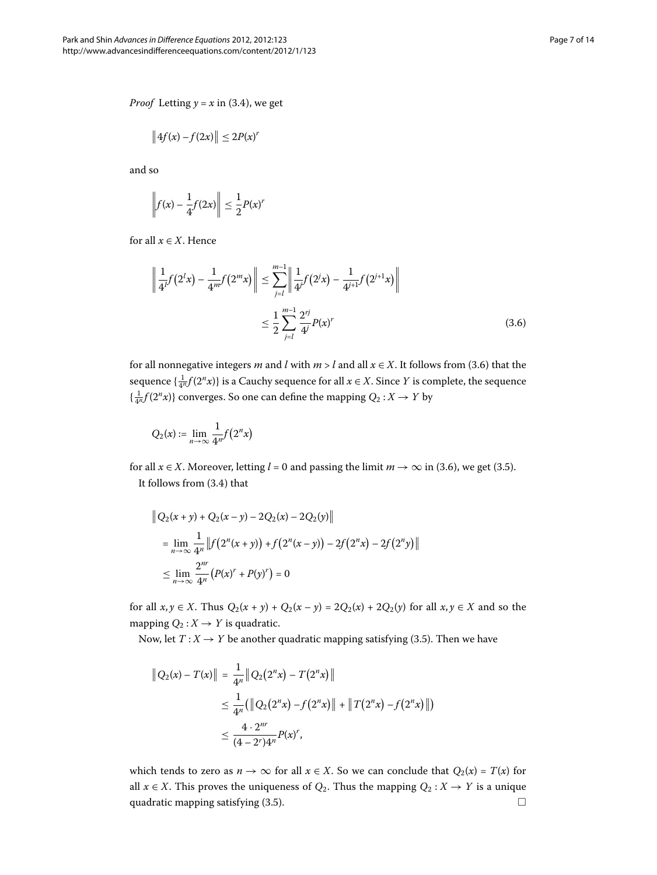*Proof* Letting  $y = x$  in (3.4), we get

$$
\left\|4f(x)-f(2x)\right\|\leq 2P(x)^r
$$

<span id="page-6-0"></span>and so

$$
\left\|f(x) - \frac{1}{4}f(2x)\right\| \le \frac{1}{2}P(x)^r
$$

for all  $x \in X$ . Hence

$$
\left\| \frac{1}{4^{l}} f(2^{l} x) - \frac{1}{4^{m}} f(2^{m} x) \right\| \leq \sum_{j=l}^{m-1} \left\| \frac{1}{4^{j}} f(2^{j} x) - \frac{1}{4^{j+1}} f(2^{j+1} x) \right\|
$$
  

$$
\leq \frac{1}{2} \sum_{j=l}^{m-1} \frac{2^{rj}}{4^{j}} P(x)^{r}
$$
(3.6)

for all nonnegative integers *m* and *l* with  $m > l$  and all  $x \in X$ [.](#page-6-0) It follows from (3.6) that the sequence  $\{\frac{1}{4^n}f(2^n x)\}$  is a Cauchy sequence for all  $x \in X$ . Since  $Y$  is complete, the sequence  $\{\frac{1}{4^n} f(2^n x)\}\)$  converges. So one can define the mapping  $Q_2: X \to Y$  by

$$
Q_2(x) := \lim_{n \to \infty} \frac{1}{4^n} f(2^n x)
$$

for all  $x \in X$ [.](#page-6-0) Moreover, letting  $l = 0$  and passing the limit  $m \to \infty$  in (3.6), we get (3.5). It follows from  $(3.4)$  $(3.4)$  $(3.4)$  that

$$
\|Q_2(x+y) + Q_2(x-y) - 2Q_2(x) - 2Q_2(y)\|
$$
  
= 
$$
\lim_{n \to \infty} \frac{1}{4^n} \|f(2^n(x+y)) + f(2^n(x-y)) - 2f(2^n x) - 2f(2^n y)\|
$$
  

$$
\leq \lim_{n \to \infty} \frac{2^{nr}}{4^n} (P(x)^r + P(y)^r) = 0
$$

for all *x*, *y* ∈ *X*. Thus  $Q_2(x + y) + Q_2(x - y) = 2Q_2(x) + 2Q_2(y)$  for all *x*, *y* ∈ *X* and so the mapping  $Q_2: X \to Y$  is quadratic.

Now, let  $T: X \rightarrow Y$  be another quadratic mapping satisfying (3.5). Then we have

$$
||Q_2(x) - T(x)|| = \frac{1}{4^n} ||Q_2(2^n x) - T(2^n x)||
$$
  
\n
$$
\leq \frac{1}{4^n} (||Q_2(2^n x) - f(2^n x)|| + ||T(2^n x) - f(2^n x)||)
$$
  
\n
$$
\leq \frac{4 \cdot 2^{nr}}{(4 - 2^r)^{4^n}} P(x)^r,
$$

which tends to zero as  $n \to \infty$  for all  $x \in X$ . So we can conclude that  $Q_2(x) = T(x)$  for all  $x \in X$ . This proves the uniqueness of  $Q_2$ . Thus the mapping  $Q_2 : X \to Y$  is a unique quadratic mapping satisfying  $(3.5)$ .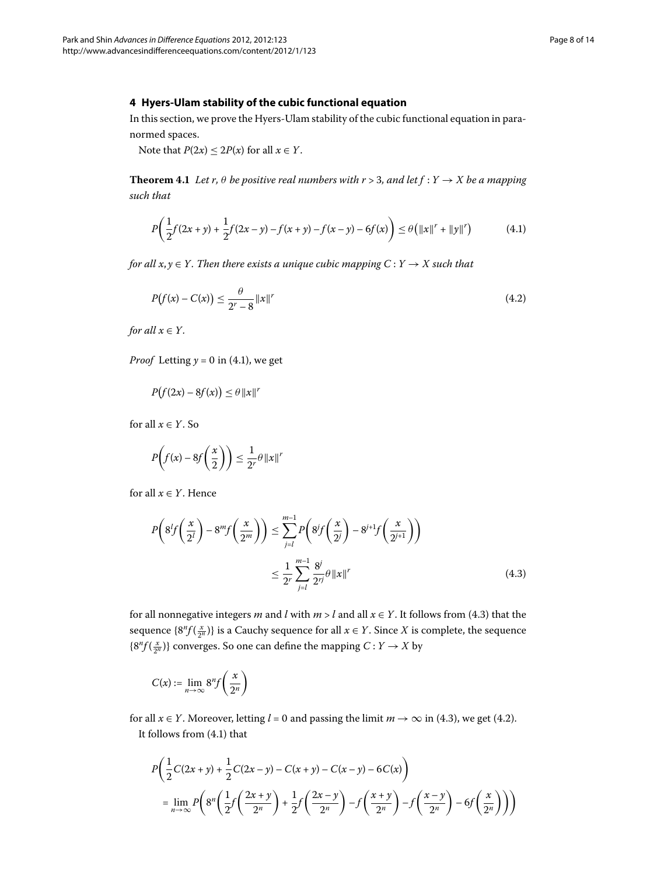## **4 Hyers-Ulam stability of the cubic functional equation**

In this section, we prove the Hyers-Ulam stability of the cubic functional equation in paranormed spaces.

<span id="page-7-0"></span>Note that  $P(2x) \le 2P(x)$  for all  $x \in Y$ .

**Theorem 4.1** Let r,  $\theta$  be positive real numbers with  $r > 3$ , and let  $f : Y \rightarrow X$  be a mapping *such that*

<span id="page-7-2"></span>
$$
P\left(\frac{1}{2}f(2x+y) + \frac{1}{2}f(2x-y) - f(x+y) - f(x-y) - 6f(x)\right) \le \theta\left(\|x\|^r + \|y\|^r\right) \tag{4.1}
$$

*for all*  $x, y \in Y$ . Then there exists a unique cubic mapping  $C: Y \to X$  such that

$$
P(f(x) - C(x)) \le \frac{\theta}{2^r - 8} \|x\|^r
$$
\n(4.2)

*for all*  $x \in Y$ *.* 

*Proof* Letting  $y = 0$  in (4.1), we get

$$
P(f(2x) - 8f(x)) \le \theta \|x\|^r
$$

<span id="page-7-1"></span>for all  $x \in Y$ . So

$$
P\left(f(x) - 8f\left(\frac{x}{2}\right)\right) \le \frac{1}{2^r}\theta \left\|x\right\|^r
$$

for all  $x \in Y$ . Hence

$$
P\left(8^{l}f\left(\frac{x}{2^{l}}\right)-8^{m}f\left(\frac{x}{2^{m}}\right)\right) \leq \sum_{j=l}^{m-1} P\left(8^{j}f\left(\frac{x}{2^{j}}\right)-8^{j+1}f\left(\frac{x}{2^{j+1}}\right)\right)
$$

$$
\leq \frac{1}{2^{r}} \sum_{j=l}^{m-1} \frac{8^{j}}{2^{rj}} \theta \left\|x\right\|^{r}
$$
(4.3)

for all nonnegative integers *m* and *l* with  $m > l$  and all  $x \in Y$ [.](#page-7-1) It follows from (4.3) that the sequence  $\{8^n f(\frac{x}{2^n})\}$  is a Cauchy sequence for all  $x \in Y$ . Since  $X$  is complete, the sequence  ${8^n f(\frac{x}{2^n})}$  converges. So one can define the mapping  $C: Y \to X$  by

$$
C(x) := \lim_{n \to \infty} 8^n f\left(\frac{x}{2^n}\right)
$$

for all *x* ∈ *Y*[.](#page-7-2) Moreover, letting *l* = 0 and passing the limit *m* → ∞ in (4.3), we get (4.2). It follows from  $(4.1)$  that

$$
P\left(\frac{1}{2}C(2x+y) + \frac{1}{2}C(2x-y) - C(x+y) - C(x-y) - 6C(x)\right)
$$
  
= 
$$
\lim_{n \to \infty} P\left(8^n \left(\frac{1}{2}f\left(\frac{2x+y}{2^n}\right) + \frac{1}{2}f\left(\frac{2x-y}{2^n}\right) - f\left(\frac{x+y}{2^n}\right) - f\left(\frac{x-y}{2^n}\right) - 6f\left(\frac{x}{2^n}\right)\right)\right)
$$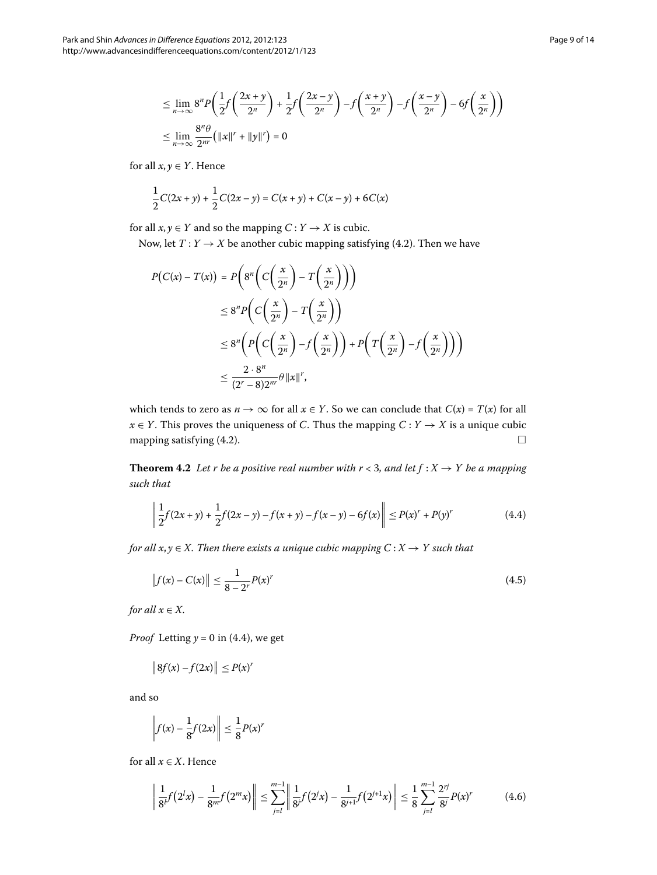$$
\leq \lim_{n \to \infty} 8^n P\left(\frac{1}{2}f\left(\frac{2x+y}{2^n}\right) + \frac{1}{2}f\left(\frac{2x-y}{2^n}\right) - f\left(\frac{x+y}{2^n}\right) - f\left(\frac{x-y}{2^n}\right) - 6f\left(\frac{x}{2^n}\right)\right)
$$
  

$$
\leq \lim_{n \to \infty} \frac{8^n \theta}{2^n} \left(\|x\|^r + \|y\|^r\right) = 0
$$

for all  $x, y \in Y$ . Hence

$$
\frac{1}{2}C(2x+y) + \frac{1}{2}C(2x-y) = C(x+y) + C(x-y) + 6C(x)
$$

for all  $x, y \in Y$  and so the mapping  $C: Y \to X$  is cubic.

Now, let  $T: Y \to X$  be another cubic mapping satisfying (4[.](#page-7-2)2). Then we have

$$
P(C(x) - T(x)) = P\left(8^n \left(C\left(\frac{x}{2^n}\right) - T\left(\frac{x}{2^n}\right)\right)\right)
$$
  
\n
$$
\leq 8^n P\left(C\left(\frac{x}{2^n}\right) - T\left(\frac{x}{2^n}\right)\right)
$$
  
\n
$$
\leq 8^n \left(P\left(C\left(\frac{x}{2^n}\right) - f\left(\frac{x}{2^n}\right)\right) + P\left(T\left(\frac{x}{2^n}\right) - f\left(\frac{x}{2^n}\right)\right)\right)
$$
  
\n
$$
\leq \frac{2 \cdot 8^n}{(2^n - 8)2^{nr}} \theta \|x\|^r,
$$

which tends to zero as  $n \to \infty$  for all  $x \in Y$ . So we can conclude that  $C(x) = T(x)$  for all *x* ∈ *Y*. This proves the uniqueness of *C*. Thus the mapping  $C: Y \rightarrow X$  is a unique cubic mapping satisfying (4[.](#page-7-2)2).  $\Box$ 

**Theorem 4.2** Let *r* be a positive real number with  $r < 3$ , and let  $f : X \rightarrow Y$  be a mapping *such that*

<span id="page-8-2"></span><span id="page-8-0"></span>
$$
\left\| \frac{1}{2} f(2x+y) + \frac{1}{2} f(2x-y) - f(x+y) - f(x-y) - 6f(x) \right\| \le P(x)^r + P(y)^r \tag{4.4}
$$

*for all x, y*  $\in$  *X. Then there exists a unique cubic mapping C* : *X*  $\rightarrow$  *Y such that* 

$$
||f(x) - C(x)|| \le \frac{1}{8 - 2^r} P(x)^r
$$
\n(4.5)

*for all*  $x \in X$ *.* 

*Proof* Letting  $y = 0$  in (4.4), we get

$$
\left\|8f(x)-f(2x)\right\|\leq P(x)^r
$$

and so

<span id="page-8-1"></span>
$$
\left\|f(x) - \frac{1}{8}f(2x)\right\| \le \frac{1}{8}P(x)^r
$$

for all  $x \in X$ . Hence

$$
\left\| \frac{1}{8^l} f(2^l x) - \frac{1}{8^m} f(2^m x) \right\| \le \sum_{j=l}^{m-1} \left\| \frac{1}{8^j} f(2^j x) - \frac{1}{8^{j+1}} f(2^{j+1} x) \right\| \le \frac{1}{8} \sum_{j=l}^{m-1} \frac{2^{rj}}{8^j} P(x)^r \tag{4.6}
$$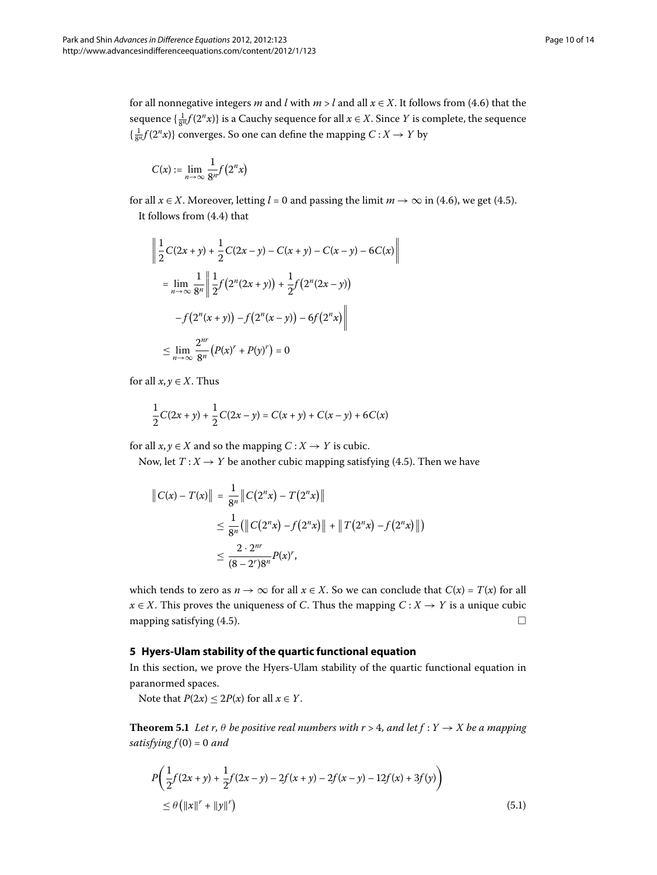for all nonnegative integers *m* and *l* with  $m > l$  and all  $x \in X$ . It follows from (4.6) that the sequence  $\{\frac{1}{8^n}f(2^n x)\}$  is a Cauchy sequence for all  $x \in X$ . Since  $Y$  is complete, the sequence  $\left\{ \frac{1}{8^n} f(2^n x) \right\}$  converges. So one can define the mapping  $C : X \to Y$  by

$$
C(x):=\lim_{n\to\infty}\frac{1}{8^n}f\big(2^nx\big)
$$

for all  $x \in X$ [.](#page-8-2) Moreover, letting  $l = 0$  and passing the limit  $m \to \infty$  in (4.6), we get (4.5). It follows from  $(4.4)$  that

$$
\left\| \frac{1}{2}C(2x+y) + \frac{1}{2}C(2x-y) - C(x+y) - C(x-y) - 6C(x) \right\|
$$
  
\n
$$
= \lim_{n \to \infty} \frac{1}{8^n} \left\| \frac{1}{2}f(2^n(2x+y)) + \frac{1}{2}f(2^n(2x-y)) - f(2^n(x+y)) - f(2^n(x+y)) - 6f(2^n x) \right\|
$$
  
\n
$$
\leq \lim_{n \to \infty} \frac{2^{nr}}{8^n} (P(x)^r + P(y)^r) = 0
$$

for all  $x, y \in X$ . Thus

$$
\frac{1}{2}C(2x+y)+\frac{1}{2}C(2x-y)=C(x+y)+C(x-y)+6C(x)
$$

for all  $x, y \in X$  and so the mapping  $C: X \to Y$  is cubic.

Now, let  $T: X \to Y$  be another cubic mapping satisfying (4[.](#page-8-2)5). Then we have

$$
||C(x) - T(x)|| = \frac{1}{8^n} ||C(2^n x) - T(2^n x)||
$$
  
\n
$$
\leq \frac{1}{8^n} (||C(2^n x) - f(2^n x)|| + ||T(2^n x) - f(2^n x)||)
$$
  
\n
$$
\leq \frac{2 \cdot 2^{nr}}{(8 - 2^r)8^n} P(x)^r,
$$

which tends to zero as  $n \to \infty$  for all  $x \in X$ . So we can conclude that  $C(x) = T(x)$  for all *x* ∈ *X*. This proves the uniqueness of *C*. Thus the mapping  $C: X \rightarrow Y$  is a unique cubic mapping satisfying  $(4.5)$  $(4.5)$  $(4.5)$ .  $\Box$ 

## **5 Hyers-Ulam stability of the quartic functional equation**

<span id="page-9-0"></span>In this section, we prove the Hyers-Ulam stability of the quartic functional equation in paranormed spaces.

Note that  $P(2x) \le 2P(x)$  for all  $x \in Y$ .

**Theorem 5.1** Let r,  $\theta$  be positive real numbers with  $r > 4$ , and let  $f : Y \to X$  be a mapping *satisfying*  $f(0) = 0$  and

$$
P\left(\frac{1}{2}f(2x+y) + \frac{1}{2}f(2x-y) - 2f(x+y) - 2f(x-y) - 12f(x) + 3f(y)\right)
$$
  
\$\leq \theta\left(\|x\|^r + \|y\|^r\right)\$ (5.1)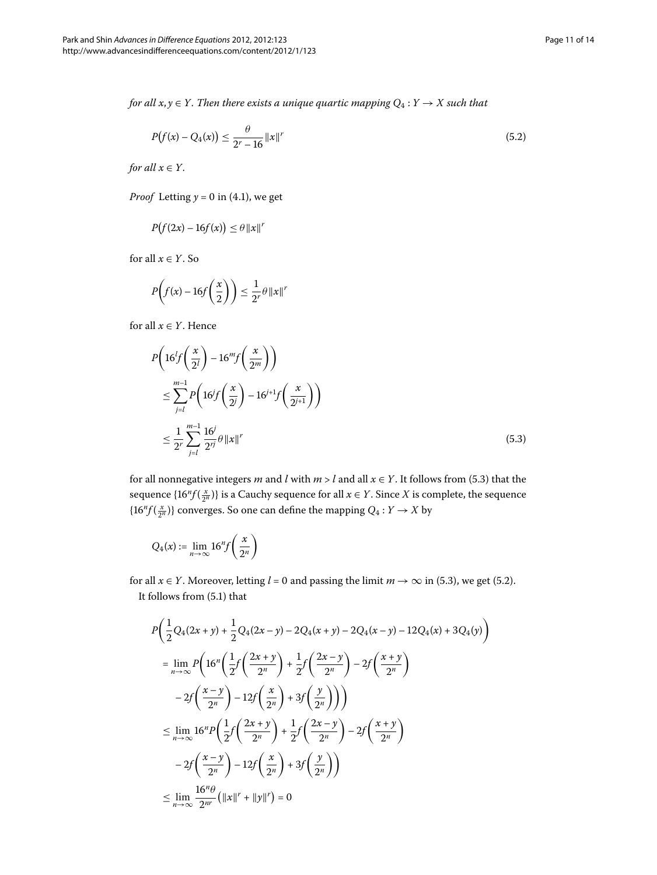*for all*  $x, y \in Y$ *. Then there exists a unique quartic mapping*  $Q_4: Y \to X$  such that

<span id="page-10-1"></span>
$$
P(f(x) - Q_4(x)) \le \frac{\theta}{2^r - 16} \|x\|^r \tag{5.2}
$$

*for all*  $x \in Y$ *.* 

*Proof* Letting  $y = 0$  in (4.1), we get

$$
P(f(2x) - 16f(x)) \le \theta ||x||^r
$$

<span id="page-10-0"></span>for all  $x \in Y$ . So

$$
P\left(f(x) - 16f\left(\frac{x}{2}\right)\right) \le \frac{1}{2^r} \theta \left\|x\right\|^r
$$

for all  $x \in Y$ . Hence

$$
P\left(16^{l}f\left(\frac{x}{2^{l}}\right) - 16^{m}f\left(\frac{x}{2^{m}}\right)\right)
$$
  
\n
$$
\leq \sum_{j=l}^{m-1} P\left(16^{j}f\left(\frac{x}{2^{j}}\right) - 16^{j+1}f\left(\frac{x}{2^{j+1}}\right)\right)
$$
  
\n
$$
\leq \frac{1}{2^{r}} \sum_{j=l}^{m-1} \frac{16^{j}}{2^{rj}} \theta \|x\|^{r}
$$
\n(5.3)

for all nonnegative integers *m* and *l* with  $m > l$  and all  $x \in Y$ . It follows from (5.3) that the sequence  $\{16^n f(\frac{x}{2^n})\}$  is a Cauchy sequence for all  $x \in Y$ . Since  $X$  is complete, the sequence  ${16^n}f(\frac{x}{2^n})$ } converges. So one can define the mapping  $Q_4: Y \to X$  by

$$
Q_4(x) := \lim_{n \to \infty} 16^n f\left(\frac{x}{2^n}\right)
$$

for all  $x \in Y$ . Moreover, letting  $l = 0$  and passing the limit  $m \to \infty$  in (5.3), we get (5.2). It follows from  $(5.1)$  $(5.1)$  $(5.1)$  that

$$
P\left(\frac{1}{2}Q_{4}(2x+y)+\frac{1}{2}Q_{4}(2x-y)-2Q_{4}(x+y)-2Q_{4}(x-y)-12Q_{4}(x)+3Q_{4}(y)\right)
$$
\n
$$
=\lim_{n\to\infty}P\left(16^{n}\left(\frac{1}{2}f\left(\frac{2x+y}{2^{n}}\right)+\frac{1}{2}f\left(\frac{2x-y}{2^{n}}\right)-2f\left(\frac{x+y}{2^{n}}\right)\right)
$$
\n
$$
-2f\left(\frac{x-y}{2^{n}}\right)-12f\left(\frac{x}{2^{n}}\right)+3f\left(\frac{y}{2^{n}}\right)\right)
$$
\n
$$
\leq \lim_{n\to\infty}16^{n}P\left(\frac{1}{2}f\left(\frac{2x+y}{2^{n}}\right)+\frac{1}{2}f\left(\frac{2x-y}{2^{n}}\right)-2f\left(\frac{x+y}{2^{n}}\right)
$$
\n
$$
-2f\left(\frac{x-y}{2^{n}}\right)-12f\left(\frac{x}{2^{n}}\right)+3f\left(\frac{y}{2^{n}}\right)\right)
$$
\n
$$
\leq \lim_{n\to\infty}\frac{16^{n}\theta}{2^{nr}}\left(\|x\|^{r}+\|y\|^{r}\right)=0
$$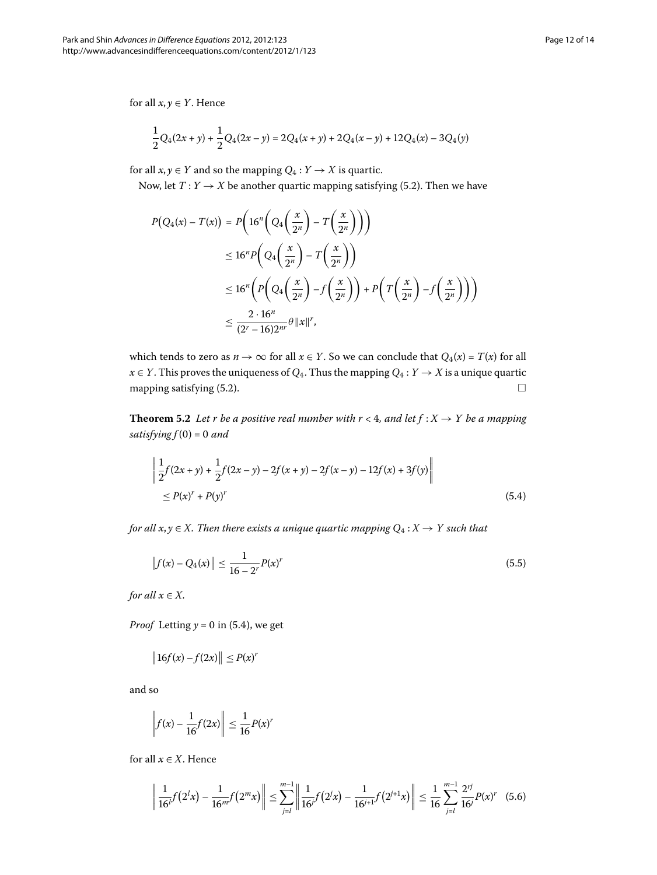for all  $x, y \in Y$ . Hence

$$
\frac{1}{2}Q_4(2x+y) + \frac{1}{2}Q_4(2x-y) = 2Q_4(x+y) + 2Q_4(x-y) + 12Q_4(x) - 3Q_4(y)
$$

for all  $x, y \in Y$  and so the mapping  $Q_4: Y \to X$  is quartic.

Now, let  $T: Y \rightarrow X$  be another quartic mapping satisfying (5.2). Then we have

$$
P(Q_4(x) - T(x)) = P\left(16^n \left(Q_4\left(\frac{x}{2^n}\right) - T\left(\frac{x}{2^n}\right)\right)\right)
$$
  
\n
$$
\leq 16^n P\left(Q_4\left(\frac{x}{2^n}\right) - T\left(\frac{x}{2^n}\right)\right)
$$
  
\n
$$
\leq 16^n \left(P\left(Q_4\left(\frac{x}{2^n}\right) - f\left(\frac{x}{2^n}\right)\right) + P\left(T\left(\frac{x}{2^n}\right) - f\left(\frac{x}{2^n}\right)\right)\right)
$$
  
\n
$$
\leq \frac{2 \cdot 16^n}{(2^r - 16)2^{nr}} \theta \|x\|^r,
$$

<span id="page-11-0"></span>which tends to zero as  $n \to \infty$  for all  $x \in Y$ . So we can conclude that  $Q_4(x) = T(x)$  for all  $x \in Y$ . This proves the uniqueness of  $Q_4$ . Thus the mapping  $Q_4: Y \to X$  is a unique quartic mapping satisfying  $(5.2)$ .

**Theorem 5.2** Let r be a positive real number with  $r < 4$ , and let  $f : X \rightarrow Y$  be a mapping  $satisfying  $f(0) = 0$  and$ 

<span id="page-11-2"></span>
$$
\left\| \frac{1}{2} f(2x+y) + \frac{1}{2} f(2x-y) - 2f(x+y) - 2f(x-y) - 12f(x) + 3f(y) \right\|
$$
  
\n
$$
\leq P(x)^{r} + P(y)^{r}
$$
\n(5.4)

*for all*  $x, y \in X$ *. Then there exists a unique quartic mapping*  $Q_4: X \rightarrow Y$  such that

$$
||f(x) - Q_4(x)|| \le \frac{1}{16 - 2^r} P(x)^r
$$
\n(5.5)

*for all*  $x \in X$ *.* 

*Proof* Letting  $y = 0$  in (5[.](#page-11-0)4), we get

$$
\|16f(x)-f(2x)\| \le P(x)^r
$$

and so

<span id="page-11-1"></span>
$$
\left\| f(x) - \frac{1}{16} f(2x) \right\| \le \frac{1}{16} P(x)^r
$$

for all  $x \in X$ . Hence

$$
\left\| \frac{1}{16^l} f(2^l x) - \frac{1}{16^m} f(2^m x) \right\| \le \sum_{j=l}^{m-1} \left\| \frac{1}{16^j} f(2^j x) - \frac{1}{16^{j+1}} f(2^{j+1} x) \right\| \le \frac{1}{16} \sum_{j=l}^{m-1} \frac{2^{rj}}{16^j} P(x)^r \tag{5.6}
$$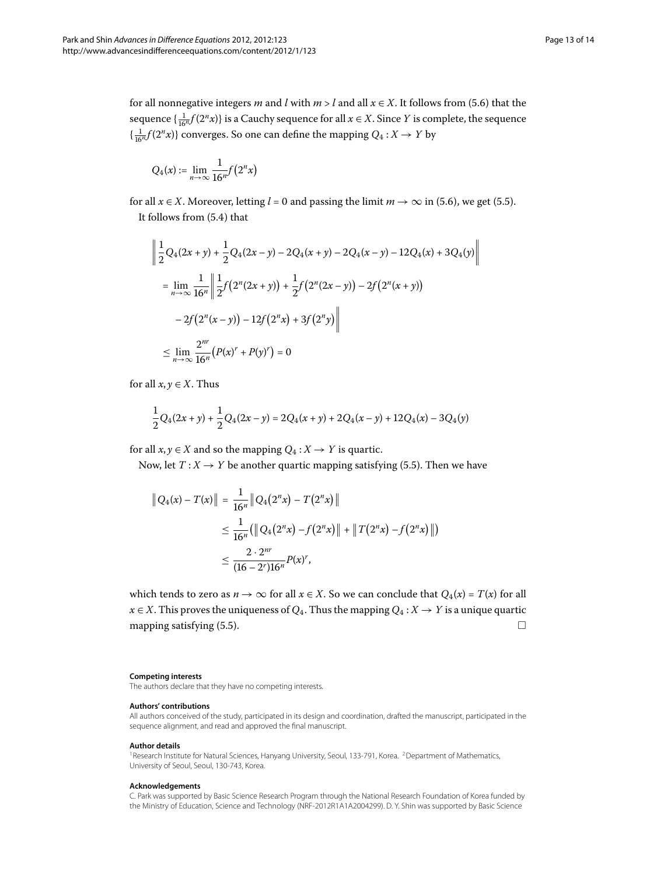for all nonnegative integers *m* and *l* with  $m > l$  and all  $x \in X$ [.](#page-11-1) It follows from (5.6) that the sequence  $\{\frac{1}{16^n}f(2^n x)\}$  is a Cauchy sequence for all  $x \in X.$  Since  $Y$  is complete, the sequence  $\left\{ \frac{1}{16^n} f(2^n x) \right\}$  converges. So one can define the mapping  $Q_4 : X \to Y$  by

$$
Q_4(x) := \lim_{n \to \infty} \frac{1}{16^n} f\big(2^n x\big)
$$

for all  $x \in X$ [.](#page-11-1) Moreover, letting  $l = 0$  and passing the limit  $m \to \infty$  in (5.6), we get (5.5). It follows from  $(5.4)$  $(5.4)$  $(5.4)$  that

$$
\left\| \frac{1}{2}Q_4(2x+y) + \frac{1}{2}Q_4(2x-y) - 2Q_4(x+y) - 2Q_4(x-y) - 12Q_4(x) + 3Q_4(y) \right\|
$$
  
\n
$$
= \lim_{n \to \infty} \frac{1}{16^n} \left\| \frac{1}{2} f(2^n(2x+y)) + \frac{1}{2} f(2^n(2x-y)) - 2f(2^n(x+y)) \right\|
$$
  
\n
$$
- 2f(2^n(x-y)) - 12f(2^n x) + 3f(2^n y) \right\|
$$
  
\n
$$
\leq \lim_{n \to \infty} \frac{2^m}{16^n} (P(x)^r + P(y)^r) = 0
$$

for all  $x, y \in X$ . Thus

$$
\frac{1}{2}Q_4(2x+y)+\frac{1}{2}Q_4(2x-y)=2Q_4(x+y)+2Q_4(x-y)+12Q_4(x)-3Q_4(y)
$$

for all  $x, y \in X$  and so the mapping  $Q_4: X \to Y$  is quartic.

Now, let  $T: X \rightarrow Y$  be another quartic mapping satisfying (5.5). Then we have

$$
||Q_4(x) - T(x)|| = \frac{1}{16^n} ||Q_4(2^n x) - T(2^n x)||
$$
  
\n
$$
\leq \frac{1}{16^n} (||Q_4(2^n x) - f(2^n x)|| + ||T(2^n x) - f(2^n x)||)
$$
  
\n
$$
\leq \frac{2 \cdot 2^{nr}}{(16-2^r)(16^n)} p(x)^r,
$$

which tends to zero as  $n \to \infty$  for all  $x \in X$ . So we can conclude that  $Q_4(x) = T(x)$  for all  $x \in X$ . This proves the uniqueness of  $Q_4$ . Thus the mapping  $Q_4: X \to Y$  is a unique quartic mapping satisfying  $(5.5)$ .

#### <span id="page-12-1"></span><span id="page-12-0"></span>**Competing interests**

The authors declare that they have no competing interests.

#### **Authors' contributions**

All authors conceived of the study, participated in its design and coordination, drafted the manuscript, participated in the sequence alignment, and read and approved the final manuscript.

#### **Author details**

<sup>1</sup> Research Institute for Natural Sciences, Hanyang University, Seoul, 133-791, Korea. <sup>2</sup> Department of Mathematics, University of Seoul, Seoul, 130-743, Korea.

#### **Acknowledgements**

C. Park was supported by Basic Science Research Program through the National Research Foundation of Korea funded by the Ministry of Education, Science and Technology (NRF-2012R1A1A2004299). D. Y. Shin was supported by Basic Science